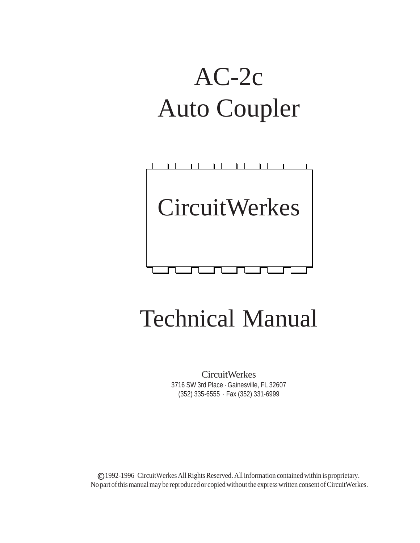# AC-2c Auto Coupler



## Technical Manual

CircuitWerkes 3716 SW 3rd Place · Gainesville, FL 32607 (352) 335-6555 · Fax (352) 331-6999

c 1992-1996 CircuitWerkes All Rights Reserved. All information contained within is proprietary. No part of this manual may be reproduced or copied without the express written consent of CircuitWerkes.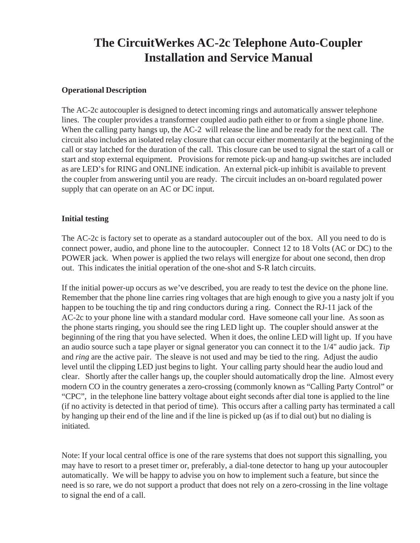## **The CircuitWerkes AC-2c Telephone Auto-Coupler Installation and Service Manual**

## **Operational Description**

The AC-2c autocoupler is designed to detect incoming rings and automatically answer telephone lines. The coupler provides a transformer coupled audio path either to or from a single phone line. When the calling party hangs up, the AC-2 will release the line and be ready for the next call. The circuit also includes an isolated relay closure that can occur either momentarily at the beginning of the call or stay latched for the duration of the call. This closure can be used to signal the start of a call or start and stop external equipment. Provisions for remote pick-up and hang-up switches are included as are LED's for RING and ONLINE indication. An external pick-up inhibit is available to prevent the coupler from answering until you are ready. The circuit includes an on-board regulated power supply that can operate on an AC or DC input.

## **Initial testing**

The AC-2c is factory set to operate as a standard autocoupler out of the box. All you need to do is connect power, audio, and phone line to the autocoupler. Connect 12 to 18 Volts (AC or DC) to the POWER jack. When power is applied the two relays will energize for about one second, then drop out. This indicates the initial operation of the one-shot and S-R latch circuits.

If the initial power-up occurs as we've described, you are ready to test the device on the phone line. Remember that the phone line carries ring voltages that are high enough to give you a nasty jolt if you happen to be touching the tip and ring conductors during a ring. Connect the RJ-11 jack of the AC-2c to your phone line with a standard modular cord. Have someone call your line. As soon as the phone starts ringing, you should see the ring LED light up. The coupler should answer at the beginning of the ring that you have selected. When it does, the online LED will light up. If you have an audio source such a tape player or signal generator you can connect it to the 1/4" audio jack. *Tip* and *ring* are the active pair. The sleave is not used and may be tied to the ring. Adjust the audio level until the clipping LED just begins to light. Your calling party should hear the audio loud and clear. Shortly after the caller hangs up, the coupler should automatically drop the line. Almost every modern CO in the country generates a zero-crossing (commonly known as "Calling Party Control" or "CPC", in the telephone line battery voltage about eight seconds after dial tone is applied to the line (if no activity is detected in that period of time). This occurs after a calling party has terminated a call by hanging up their end of the line and if the line is picked up (as if to dial out) but no dialing is initiated.

Note: If your local central office is one of the rare systems that does not support this signalling, you may have to resort to a preset timer or, preferably, a dial-tone detector to hang up your autocoupler automatically. We will be happy to advise you on how to implement such a feature, but since the need is so rare, we do not support a product that does not rely on a zero-crossing in the line voltage to signal the end of a call.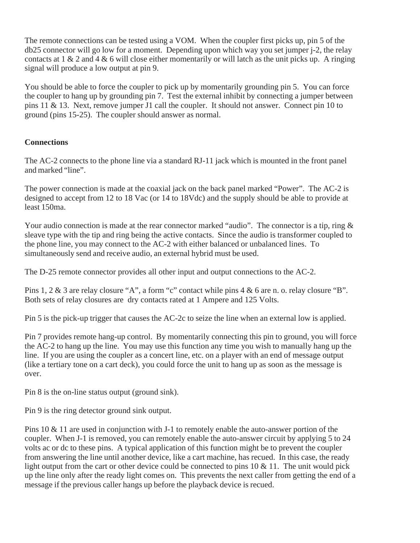The remote connections can be tested using a VOM. When the coupler first picks up, pin 5 of the db25 connector will go low for a moment. Depending upon which way you set jumper j-2, the relay contacts at  $1 \& 2$  and  $4 \& 6$  will close either momentarily or will latch as the unit picks up. A ringing signal will produce a low output at pin 9.

You should be able to force the coupler to pick up by momentarily grounding pin 5. You can force the coupler to hang up by grounding pin 7. Test the external inhibit by connecting a jumper between pins 11 & 13. Next, remove jumper J1 call the coupler. It should not answer. Connect pin 10 to ground (pins 15-25). The coupler should answer as normal.

## **Connections**

The AC-2 connects to the phone line via a standard RJ-11 jack which is mounted in the front panel and marked "line".

The power connection is made at the coaxial jack on the back panel marked "Power". The AC-2 is designed to accept from 12 to 18 Vac (or 14 to 18Vdc) and the supply should be able to provide at least 150ma.

Your audio connection is made at the rear connector marked "audio". The connector is a tip, ring  $\&$ sleave type with the tip and ring being the active contacts. Since the audio is transformer coupled to the phone line, you may connect to the AC-2 with either balanced or unbalanced lines. To simultaneously send and receive audio, an external hybrid must be used.

The D-25 remote connector provides all other input and output connections to the AC-2.

Pins 1, 2 & 3 are relay closure "A", a form "c" contact while pins 4 & 6 are n. o. relay closure "B". Both sets of relay closures are dry contacts rated at 1 Ampere and 125 Volts.

Pin 5 is the pick-up trigger that causes the AC-2c to seize the line when an external low is applied.

Pin 7 provides remote hang-up control. By momentarily connecting this pin to ground, you will force the AC-2 to hang up the line. You may use this function any time you wish to manually hang up the line. If you are using the coupler as a concert line, etc. on a player with an end of message output (like a tertiary tone on a cart deck), you could force the unit to hang up as soon as the message is over.

Pin 8 is the on-line status output (ground sink).

Pin 9 is the ring detector ground sink output.

Pins 10 & 11 are used in conjunction with J-1 to remotely enable the auto-answer portion of the coupler. When J-1 is removed, you can remotely enable the auto-answer circuit by applying 5 to 24 volts ac or dc to these pins. A typical application of this function might be to prevent the coupler from answering the line until another device, like a cart machine, has recued. In this case, the ready light output from the cart or other device could be connected to pins  $10 \& 11$ . The unit would pick up the line only after the ready light comes on. This prevents the next caller from getting the end of a message if the previous caller hangs up before the playback device is recued.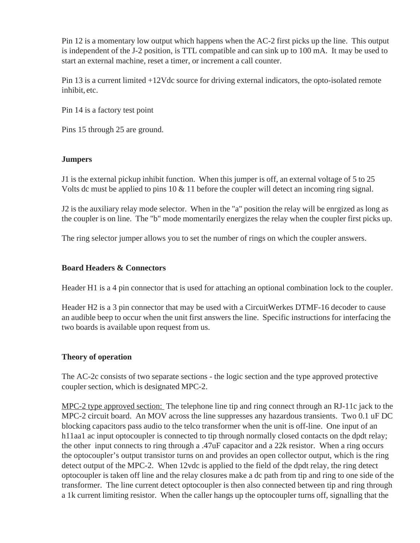Pin 12 is a momentary low output which happens when the AC-2 first picks up the line. This output is independent of the J-2 position, is TTL compatible and can sink up to 100 mA. It may be used to start an external machine, reset a timer, or increment a call counter.

Pin 13 is a current limited +12Vdc source for driving external indicators, the opto-isolated remote inhibit, etc.

Pin 14 is a factory test point

Pins 15 through 25 are ground.

## **Jumpers**

J1 is the external pickup inhibit function. When this jumper is off, an external voltage of 5 to 25 Volts dc must be applied to pins 10 & 11 before the coupler will detect an incoming ring signal.

J2 is the auxiliary relay mode selector. When in the "a" position the relay will be enrgized as long as the coupler is on line. The "b" mode momentarily energizes the relay when the coupler first picks up.

The ring selector jumper allows you to set the number of rings on which the coupler answers.

## **Board Headers & Connectors**

Header H1 is a 4 pin connector that is used for attaching an optional combination lock to the coupler.

Header H2 is a 3 pin connector that may be used with a CircuitWerkes DTMF-16 decoder to cause an audible beep to occur when the unit first answers the line. Specific instructions for interfacing the two boards is available upon request from us.

## **Theory of operation**

The AC-2c consists of two separate sections - the logic section and the type approved protective coupler section, which is designated MPC-2.

MPC-2 type approved section: The telephone line tip and ring connect through an RJ-11c jack to the MPC-2 circuit board. An MOV across the line suppresses any hazardous transients. Two 0.1 uF DC blocking capacitors pass audio to the telco transformer when the unit is off-line. One input of an h11aa1 ac input optocoupler is connected to tip through normally closed contacts on the dpdt relay; the other input connects to ring through a .47uF capacitor and a 22k resistor. When a ring occurs the optocoupler's output transistor turns on and provides an open collector output, which is the ring detect output of the MPC-2. When 12vdc is applied to the field of the dpdt relay, the ring detect optocoupler is taken off line and the relay closures make a dc path from tip and ring to one side of the transformer. The line current detect optocoupler is then also connected between tip and ring through a 1k current limiting resistor. When the caller hangs up the optocoupler turns off, signalling that the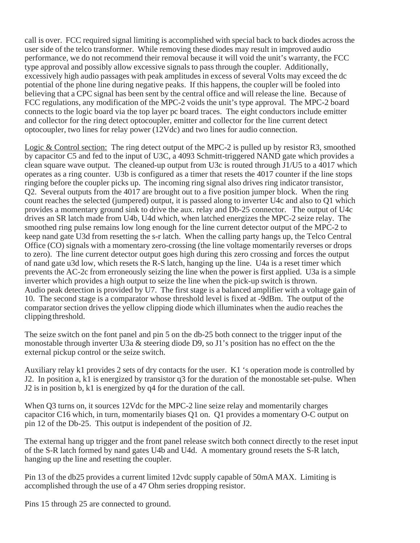call is over. FCC required signal limiting is accomplished with special back to back diodes across the user side of the telco transformer. While removing these diodes may result in improved audio performance, we do not recommend their removal because it will void the unit's warranty, the FCC type approval and possibly allow excessive signals to pass through the coupler. Additionally, excessively high audio passages with peak amplitudes in excess of several Volts may exceed the dc potential of the phone line during negative peaks. If this happens, the coupler will be fooled into believing that a CPC signal has been sent by the central office and will release the line. Because of FCC regulations, any modification of the MPC-2 voids the unit's type approval. The MPC-2 board connects to the logic board via the top layer pc board traces. The eight conductors include emitter and collector for the ring detect optocoupler, emitter and collector for the line current detect optocoupler, two lines for relay power (12Vdc) and two lines for audio connection.

Logic & Control section: The ring detect output of the MPC-2 is pulled up by resistor R3, smoothed by capacitor C5 and fed to the input of U3C, a 4093 Schmitt-triggered NAND gate which provides a clean square wave output. The cleaned-up output from U3c is routed through J1/U5 to a 4017 which operates as a ring counter. U3b is configured as a timer that resets the 4017 counter if the line stops ringing before the coupler picks up. The incoming ring signal also drives ring indicator transistor, Q2. Several outputs from the 4017 are brought out to a five position jumper block. When the ring count reaches the selected (jumpered) output, it is passed along to inverter U4c and also to Q1 which provides a momentary ground sink to drive the aux. relay and Db-25 connector. The output of U4c drives an SR latch made from U4b, U4d which, when latched energizes the MPC-2 seize relay. The smoothed ring pulse remains low long enough for the line current detector output of the MPC-2 to keep nand gate U3d from resetting the s-r latch. When the calling party hangs up, the Telco Central Office (CO) signals with a momentary zero-crossing (the line voltage momentarily reverses or drops to zero). The line current detector output goes high during this zero crossing and forces the output of nand gate u3d low, which resets the R-S latch, hanging up the line. U4a is a reset timer which prevents the AC-2c from erroneously seizing the line when the power is first applied. U3a is a simple inverter which provides a high output to seize the line when the pick-up switch is thrown. Audio peak detection is provided by U7. The first stage is a balanced amplifier with a voltage gain of 10. The second stage is a comparator whose threshold level is fixed at -9dBm. The output of the comparator section drives the yellow clipping diode which illuminates when the audio reaches the clipping threshold.

The seize switch on the font panel and pin 5 on the db-25 both connect to the trigger input of the monostable through inverter U3a & steering diode D9, so J1's position has no effect on the the external pickup control or the seize switch.

Auxiliary relay k1 provides 2 sets of dry contacts for the user. K1 's operation mode is controlled by J2. In position a, k1 is energized by transistor q3 for the duration of the monostable set-pulse. When J2 is in position b, k1 is energized by q4 for the duration of the call.

When Q3 turns on, it sources 12Vdc for the MPC-2 line seize relay and momentarily charges capacitor C16 which, in turn, momentarily biases Q1 on. Q1 provides a momentary O-C output on pin 12 of the Db-25. This output is independent of the position of J2.

The external hang up trigger and the front panel release switch both connect directly to the reset input of the S-R latch formed by nand gates U4b and U4d. A momentary ground resets the S-R latch, hanging up the line and resetting the coupler.

Pin 13 of the db25 provides a current limited 12vdc supply capable of 50mA MAX. Limiting is accomplished through the use of a 47 Ohm series dropping resistor.

Pins 15 through 25 are connected to ground.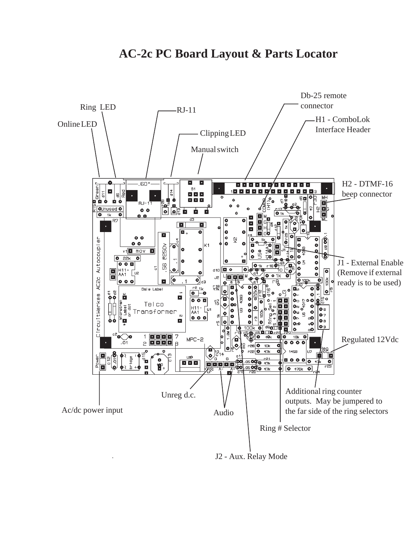## **AC-2c PC Board Layout & Parts Locator**



J2 - Aux. Relay Mode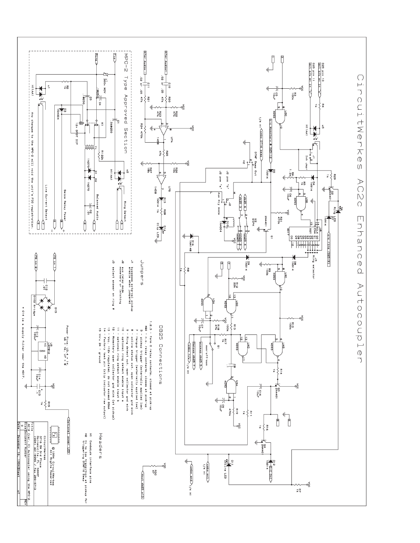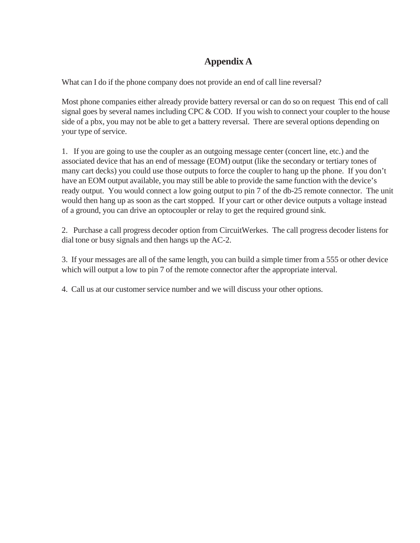## **Appendix A**

What can I do if the phone company does not provide an end of call line reversal?

Most phone companies either already provide battery reversal or can do so on request This end of call signal goes by several names including CPC & COD. If you wish to connect your coupler to the house side of a pbx, you may not be able to get a battery reversal. There are several options depending on your type of service.

1. If you are going to use the coupler as an outgoing message center (concert line, etc.) and the associated device that has an end of message (EOM) output (like the secondary or tertiary tones of many cart decks) you could use those outputs to force the coupler to hang up the phone. If you don't have an EOM output available, you may still be able to provide the same function with the device's ready output. You would connect a low going output to pin 7 of the db-25 remote connector. The unit would then hang up as soon as the cart stopped. If your cart or other device outputs a voltage instead of a ground, you can drive an optocoupler or relay to get the required ground sink.

2. Purchase a call progress decoder option from CircuitWerkes. The call progress decoder listens for dial tone or busy signals and then hangs up the AC-2.

3. If your messages are all of the same length, you can build a simple timer from a 555 or other device which will output a low to pin 7 of the remote connector after the appropriate interval.

4. Call us at our customer service number and we will discuss your other options.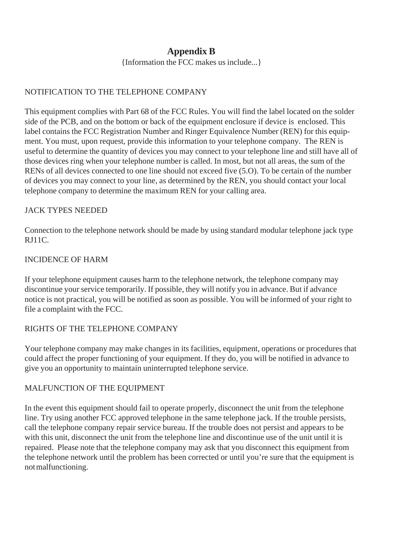## **Appendix B**

{Information the FCC makes us include...}

## NOTIFICATION TO THE TELEPHONE COMPANY

This equipment complies with Part 68 of the FCC Rules. You will find the label located on the solder side of the PCB, and on the bottom or back of the equipment enclosure if device is enclosed. This label contains the FCC Registration Number and Ringer Equivalence Number (REN) for this equipment. You must, upon request, provide this information to your telephone company. The REN is useful to determine the quantity of devices you may connect to your telephone line and still have all of those devices ring when your telephone number is called. In most, but not all areas, the sum of the RENs of all devices connected to one line should not exceed five (5.O). To be certain of the number of devices you may connect to your line, as determined by the REN, you should contact your local telephone company to determine the maximum REN for your calling area.

## JACK TYPES NEEDED

Connection to the telephone network should be made by using standard modular telephone jack type RJ11C.

## INCIDENCE OF HARM

If your telephone equipment causes harm to the telephone network, the telephone company may discontinue your service temporarily. If possible, they will notify you in advance. But if advance notice is not practical, you will be notified as soon as possible. You will be informed of your right to file a complaint with the FCC.

## RIGHTS OF THE TELEPHONE COMPANY

Your telephone company may make changes in its facilities, equipment, operations or procedures that could affect the proper functioning of your equipment. If they do, you will be notified in advance to give you an opportunity to maintain uninterrupted telephone service.

## MALFUNCTION OF THE EQUIPMENT

In the event this equipment should fail to operate properly, disconnect the unit from the telephone line. Try using another FCC approved telephone in the same telephone jack. If the trouble persists, call the telephone company repair service bureau. If the trouble does not persist and appears to be with this unit, disconnect the unit from the telephone line and discontinue use of the unit until it is repaired. Please note that the telephone company may ask that you disconnect this equipment from the telephone network until the problem has been corrected or until you're sure that the equipment is not malfunctioning.